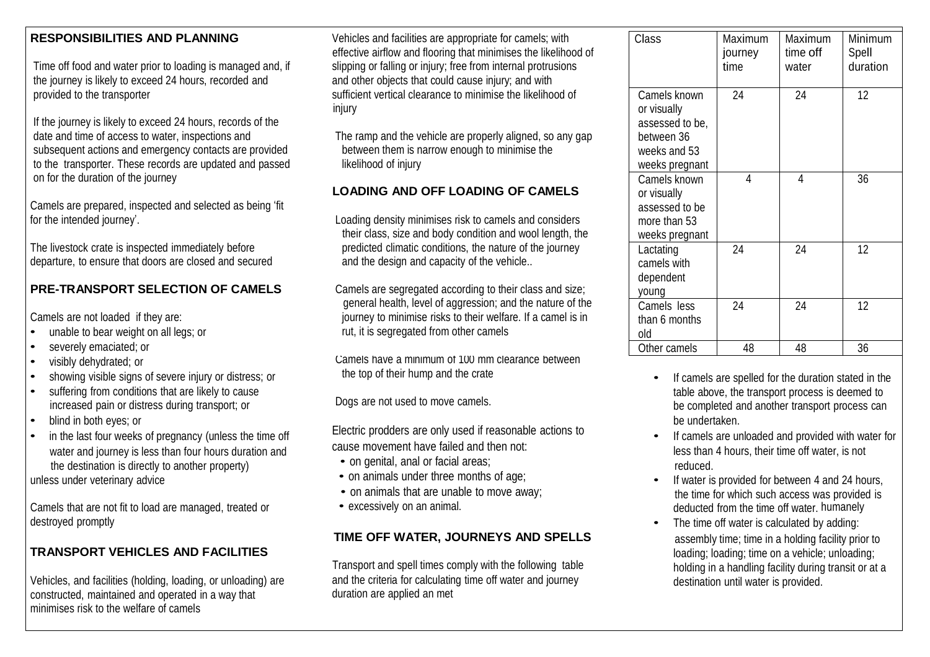Time off food and water prior to loading is managed and, if slipping or falling or injury; free from internal protrusions the journey is likely to exceed 24 hours, recorded and and and other objects that could cause injury; and with provided to the transporter sufficient vertical clearance to minimise the likelihood of

If the journey is likely to exceed 24 hours, records of the date and time of access to water, inspections and The ramp and the vehicle are properly aligned, so any gap subsequent actions and emergency contacts are provided between them is narrow enough to minimise the to the transporter. These records are updated and passed likelihood of injury on for the duration of the journey

Camels are prepared, inspected and selected as being 'fit for the intended journey'. Loading density minimises risk to camels and considers

departure, to ensure that doors are closed and secured and the design and capacity of the vehicle..

- 
- severely emaciated; or
- 
- 
- 
- 
- water and journey is less than four hours duration and the destination is directly to another property)

unless under veterinary advice

Camels that are not fit to load are managed, treated or • excessively on an animal. destroyed promptly examples the time off water is calculated by adding:

Vehicles, and facilities (holding, loading, or unloading) are and the criteria for calculating time off water and journey destination until water is provided.<br>
constructed, maintained and operated in a way that **building** constructed, maintained and operated in a way that minimises risk to the welfare of camels

**RESPONSIBILITIES AND PLANNING** Vehicles and facilities are appropriate for camels; with effective airflow and flooring that minimises the likelihood of injury

## **LOADING AND OFF LOADING OF CAMELS**

their class, size and body condition and wool length, the The livestock crate is inspected immediately before predicted climatic conditions, the nature of the journey

**PRE-TRANSPORT SELECTION OF CAMELS** Camels are segregated according to their class and size; general health, level of aggression; and the nature of the Camels are not loaded if they are:  $\frac{1}{2}$  in  $\frac{1}{2}$  in  $\frac{1}{2}$  in  $\frac{1}{2}$  in  $\frac{1}{2}$  camel is in  $\frac{1}{2}$  camel is in example to bear weight on all legs; or rut, it is segregated from other camels

visibly dehydrated; or Camels have a minimum of 100 mm clearance between<br>showing visible signs of severe injury or distress: or the top of their hump and the crate showing visible signs of severe injury or distress; or the top of their hump and the crate examples are spelled for the duration stated in the

blind in both eyes; or be undertaken.<br>in the lect four weeks of pregnancy (unless the time off Electric prodders are only used if reasonable actions to in the last four weeks of pregnancy (unless the time off Electric products are only used if reasonable actions to • If camels are unloaded and provided with water for cause movement have failed and then not:

- on genital, anal or facial areas;
- on animals under three months of age; example and the set of the set of the set of the set of the set of the set of the set of the set of the set of the set of the set of the set of the set of the set of the set of the s
- on animals that are unable to move away;
- 

### **TIME OFF WATER, JOURNEYS AND SPELLS** assembly time; time in a holding facility prior to

Transport and spell times comply with the following table holding in a handling facility during transit or at a<br>and the criteria for calculating time off water and journey destination until water is provided.

| Class                                                                                          | Maximum<br>journey<br>time | Maximum<br>time off<br>water | Minimum<br>Spell<br>duration |
|------------------------------------------------------------------------------------------------|----------------------------|------------------------------|------------------------------|
| Camels known<br>or visually<br>assessed to be,<br>between 36<br>weeks and 53<br>weeks pregnant | 24                         | 24                           | 12                           |
| Camels known<br>or visually<br>assessed to be<br>more than 53<br>weeks pregnant                | 4                          | 4                            | 36                           |
| Lactating<br>camels with<br>dependent<br>young                                                 | 24                         | 24                           | 12                           |
| Camels less<br>than 6 months<br>old                                                            | 24                         | 24                           | 12                           |
| Other camels                                                                                   | 48                         | 48                           | 36                           |

- vertering from conditions that are likely to cause<br>increased pain or distress during transport: or seemed to process are not used to move camels. increased pain or distress during transport; or Dogs are not used to move camels. The completed and another transport process can
	- less than 4 hours, their time off water, is not reduced.
	- the time for which such access was provided is deducted from the time off water, humanely
- **TRANSPORT VEHICLES AND FACILITIES**<br>Transport and spell times comply with the following table bolding; loading; loading; time on a vehicle; unloading;<br>Bolding in a handling facility during transit or at